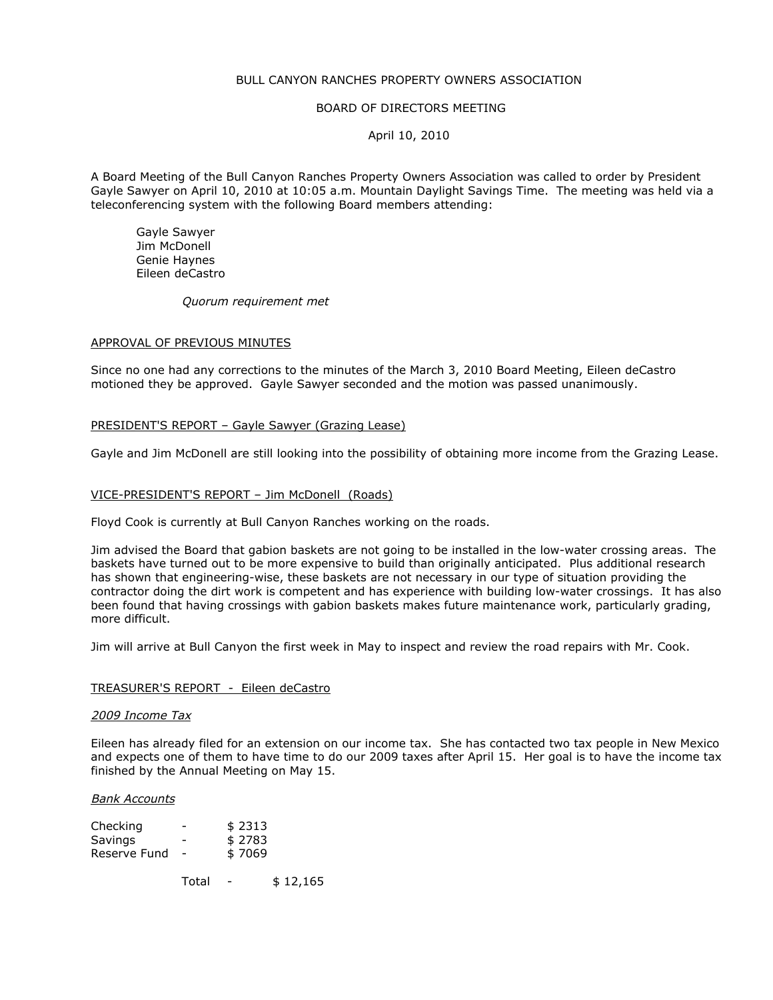# BULL CANYON RANCHES PROPERTY OWNERS ASSOCIATION

## BOARD OF DIRECTORS MEETING

# April 10, 2010

A Board Meeting of the Bull Canyon Ranches Property Owners Association was called to order by President Gayle Sawyer on April 10, 2010 at 10:05 a.m. Mountain Daylight Savings Time. The meeting was held via a teleconferencing system with the following Board members attending:

 Gayle Sawyer Jim McDonell Genie Haynes Eileen deCastro

Quorum requirement met

#### APPROVAL OF PREVIOUS MINUTES

Since no one had any corrections to the minutes of the March 3, 2010 Board Meeting, Eileen deCastro motioned they be approved. Gayle Sawyer seconded and the motion was passed unanimously.

## PRESIDENT'S REPORT – Gayle Sawyer (Grazing Lease)

Gayle and Jim McDonell are still looking into the possibility of obtaining more income from the Grazing Lease.

#### VICE-PRESIDENT'S REPORT – Jim McDonell (Roads)

Floyd Cook is currently at Bull Canyon Ranches working on the roads.

Jim advised the Board that gabion baskets are not going to be installed in the low-water crossing areas. The baskets have turned out to be more expensive to build than originally anticipated. Plus additional research has shown that engineering-wise, these baskets are not necessary in our type of situation providing the contractor doing the dirt work is competent and has experience with building low-water crossings. It has also been found that having crossings with gabion baskets makes future maintenance work, particularly grading, more difficult.

Jim will arrive at Bull Canyon the first week in May to inspect and review the road repairs with Mr. Cook.

## TREASURER'S REPORT - Eileen deCastro

#### 2009 Income Tax

Eileen has already filed for an extension on our income tax. She has contacted two tax people in New Mexico and expects one of them to have time to do our 2009 taxes after April 15. Her goal is to have the income tax finished by the Annual Meeting on May 15.

#### Bank Accounts

| Checking     |                          | \$2313 |
|--------------|--------------------------|--------|
| Savings      |                          | \$2783 |
| Reserve Fund | $\overline{\phantom{a}}$ | \$7069 |

Total - \$ 12,165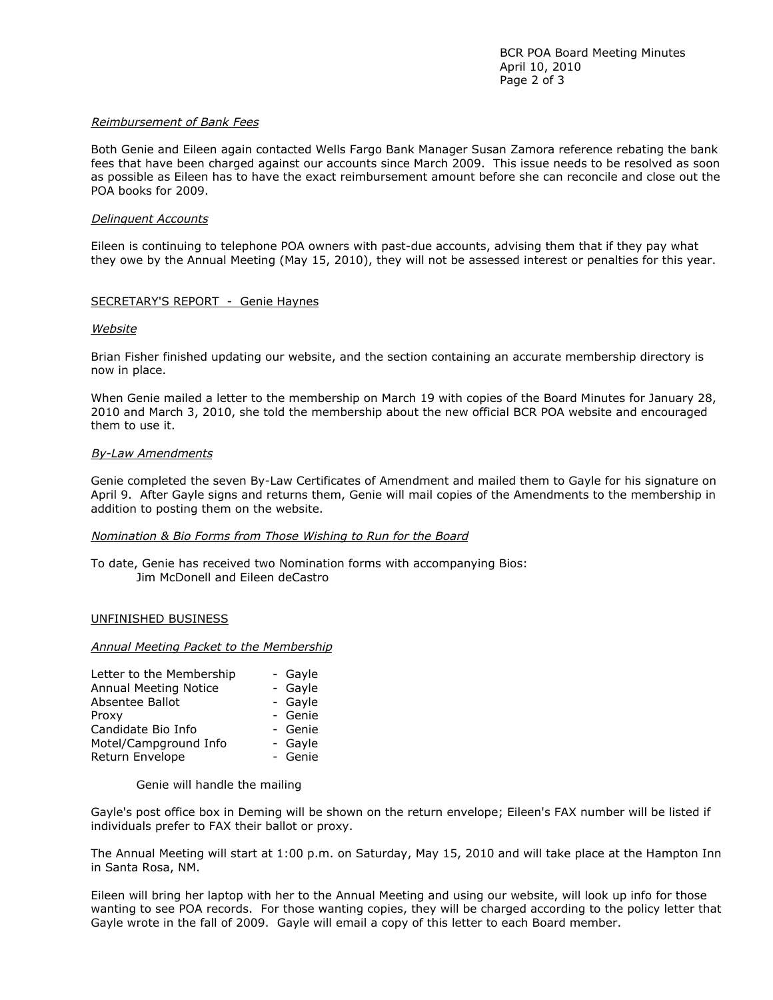## Reimbursement of Bank Fees

Both Genie and Eileen again contacted Wells Fargo Bank Manager Susan Zamora reference rebating the bank fees that have been charged against our accounts since March 2009. This issue needs to be resolved as soon as possible as Eileen has to have the exact reimbursement amount before she can reconcile and close out the POA books for 2009.

## Delinquent Accounts

Eileen is continuing to telephone POA owners with past-due accounts, advising them that if they pay what they owe by the Annual Meeting (May 15, 2010), they will not be assessed interest or penalties for this year.

# SECRETARY'S REPORT - Genie Haynes

## **Website**

Brian Fisher finished updating our website, and the section containing an accurate membership directory is now in place.

When Genie mailed a letter to the membership on March 19 with copies of the Board Minutes for January 28, 2010 and March 3, 2010, she told the membership about the new official BCR POA website and encouraged them to use it.

## By-Law Amendments

Genie completed the seven By-Law Certificates of Amendment and mailed them to Gayle for his signature on April 9. After Gayle signs and returns them, Genie will mail copies of the Amendments to the membership in addition to posting them on the website.

## Nomination & Bio Forms from Those Wishing to Run for the Board

To date, Genie has received two Nomination forms with accompanying Bios: Jim McDonell and Eileen deCastro

## UNFINISHED BUSINESS

## Annual Meeting Packet to the Membership

| - Gayle |
|---------|
| - Gayle |
| - Gayle |
| - Genie |
| - Genie |
| - Gavle |
| - Genie |
|         |

Genie will handle the mailing

Gayle's post office box in Deming will be shown on the return envelope; Eileen's FAX number will be listed if individuals prefer to FAX their ballot or proxy.

The Annual Meeting will start at 1:00 p.m. on Saturday, May 15, 2010 and will take place at the Hampton Inn in Santa Rosa, NM.

Eileen will bring her laptop with her to the Annual Meeting and using our website, will look up info for those wanting to see POA records. For those wanting copies, they will be charged according to the policy letter that Gayle wrote in the fall of 2009. Gayle will email a copy of this letter to each Board member.